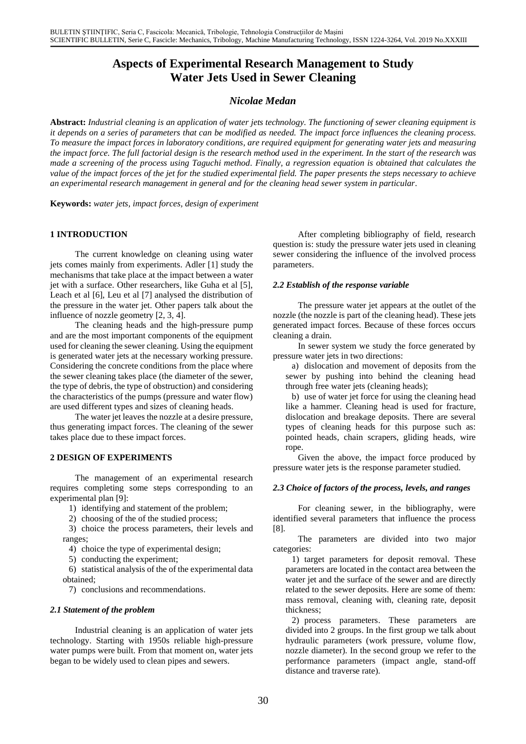# **Aspects of Experimental Research Management to Study Water Jets Used in Sewer Cleaning**

# *Nicolae Medan*

**Abstract:** *Industrial cleaning is an application of water jets technology. The functioning of sewer cleaning equipment is it depends on a series of parameters that can be modified as needed. The impact force influences the cleaning process. To measure the impact forces in laboratory conditions, are required equipment for generating water jets and measuring the impact force. The full factorial design is the research method used in the experiment. In the start of the research was made a screening of the process using Taguchi method. Finally, a regression equation is obtained that calculates the value of the impact forces of the jet for the studied experimental field. The paper presents the steps necessary to achieve an experimental research management in general and for the cleaning head sewer system in particular*.

**Keywords:** *water jets, impact forces, design of experiment*

## **1 INTRODUCTION**

The current knowledge on cleaning using water jets comes mainly from experiments. Adler [1] study the mechanisms that take place at the impact between a water jet with a surface. Other researchers, like Guha et al [5], Leach et al [6], Leu et al [7] analysed the distribution of the pressure in the water jet. Other papers talk about the influence of nozzle geometry [2, 3, 4].

The cleaning heads and the high-pressure pump and are the most important components of the equipment used for cleaning the sewer cleaning. Using the equipment is generated water jets at the necessary working pressure. Considering the concrete conditions from the place where the sewer cleaning takes place (the diameter of the sewer, the type of debris, the type of obstruction) and considering the characteristics of the pumps (pressure and water flow) are used different types and sizes of cleaning heads.

The water jet leaves the nozzle at a desire pressure, thus generating impact forces. The cleaning of the sewer takes place due to these impact forces.

#### **2 DESIGN OF EXPERIMENTS**

The management of an experimental research requires completing some steps corresponding to an experimental plan [9]:

1) identifying and statement of the problem;

2) choosing of the of the studied process;

3) choice the process parameters, their levels and ranges;

4) choice the type of experimental design;

5) conducting the experiment;

6) statistical analysis of the of the experimental data obtained;

7) conclusions and recommendations.

#### *2.1 Statement of the problem*

Industrial cleaning is an application of water jets technology. Starting with 1950s reliable high-pressure water pumps were built. From that moment on, water jets began to be widely used to clean pipes and sewers.

After completing bibliography of field, research question is: study the pressure water jets used in cleaning sewer considering the influence of the involved process parameters.

## *2.2 Establish of the response variable*

The pressure water jet appears at the outlet of the nozzle (the nozzle is part of the cleaning head). These jets generated impact forces. Because of these forces occurs cleaning a drain.

In sewer system we study the force generated by pressure water jets in two directions:

a) dislocation and movement of deposits from the sewer by pushing into behind the cleaning head through free water jets (cleaning heads);

b) use of water jet force for using the cleaning head like a hammer. Cleaning head is used for fracture, dislocation and breakage deposits. There are several types of cleaning heads for this purpose such as: pointed heads, chain scrapers, gliding heads, wire rope.

Given the above, the impact force produced by pressure water jets is the response parameter studied.

#### *2.3 Choice of factors of the process, levels, and ranges*

For cleaning sewer, in the bibliography, were identified several parameters that influence the process [8].

The parameters are divided into two major categories:

1) target parameters for deposit removal. These parameters are located in the contact area between the water jet and the surface of the sewer and are directly related to the sewer deposits. Here are some of them: mass removal, cleaning with, cleaning rate, deposit thickness;

2) process parameters. These parameters are divided into 2 groups. In the first group we talk about hydraulic parameters (work pressure, volume flow, nozzle diameter). In the second group we refer to the performance parameters (impact angle, stand-off distance and traverse rate).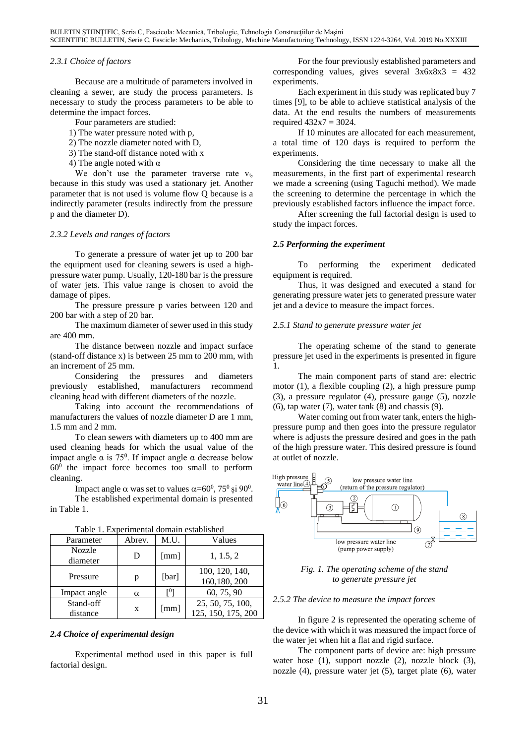#### *2.3.1 Choice of factors*

Because are a multitude of parameters involved in cleaning a sewer, are study the process parameters. Is necessary to study the process parameters to be able to determine the impact forces.

Four parameters are studied:

- 1) The water pressure noted with p,
- 2) The nozzle diameter noted with D,
- 3) The stand-off distance noted with x
- 4) The angle noted with  $\alpha$

We don't use the parameter traverse rate  $v_t$ , because in this study was used a stationary jet. Another parameter that is not used is volume flow Q because is a indirectly parameter (results indirectly from the pressure p and the diameter D).

#### *2.3.2 Levels and ranges of factors*

To generate a pressure of water jet up to 200 bar the equipment used for cleaning sewers is used a highpressure water pump. Usually, 120-180 bar is the pressure of water jets. This value range is chosen to avoid the damage of pipes.

The pressure pressure p varies between 120 and 200 bar with a step of 20 bar.

The maximum diameter of sewer used in this study are 400 mm.

The distance between nozzle and impact surface (stand-off distance x) is between 25 mm to 200 mm, with an increment of 25 mm.

Considering the pressures and diameters previously established, manufacturers recommend cleaning head with different diameters of the nozzle.

Taking into account the recommendations of manufacturers the values of nozzle diameter D are 1 mm, 1.5 mm and 2 mm.

To clean sewers with diameters up to 400 mm are used cleaning heads for which the usual value of the impact angle  $\alpha$  is 75<sup>0</sup>. If impact angle  $\alpha$  decrease below  $60<sup>0</sup>$  the impact force becomes too small to perform cleaning.

Impact angle  $\alpha$  was set to values  $\alpha = 60^0$ , 75<sup>0</sup> și 90<sup>0</sup>.

The established experimental domain is presented in Table 1.

| Parameter          | Abrev. | M.U.  | Values                         |
|--------------------|--------|-------|--------------------------------|
| Nozzle<br>diameter | D      | [mm]  | 1, 1.5, 2                      |
|                    |        |       |                                |
| Pressure           | p      | [bar] | 100, 120, 140,<br>160,180, 200 |
| Impact angle       | α      | гU    | 60, 75, 90                     |
| Stand-off          | X      | [mm]  | 25, 50, 75, 100,               |
| distance           |        |       | 125, 150, 175, 200             |

| Table 1. Experimental domain established |
|------------------------------------------|
|------------------------------------------|

#### *2.4 Choice of experimental design*

Experimental method used in this paper is full factorial design.

For the four previously established parameters and corresponding values, gives several  $3x6x8x3 = 432$ experiments.

Each experiment in this study was replicated buy 7 times [9], to be able to achieve statistical analysis of the data. At the end results the numbers of measurements required  $432x7 = 3024$ .

If 10 minutes are allocated for each measurement, a total time of 120 days is required to perform the experiments.

Considering the time necessary to make all the measurements, in the first part of experimental research we made a screening (using Taguchi method). We made the screening to determine the percentage in which the previously established factors influence the impact force.

After screening the full factorial design is used to study the impact forces.

#### *2.5 Performing the experiment*

To performing the experiment dedicated equipment is required.

Thus, it was designed and executed a stand for generating pressure water jets to generated pressure water jet and a device to measure the impact forces.

#### *2.5.1 Stand to generate pressure water jet*

The operating scheme of the stand to generate pressure jet used in the experiments is presented in figure 1.

The main component parts of stand are: electric motor (1), a flexible coupling (2), a high pressure pump (3), a pressure regulator (4), pressure gauge (5), nozzle  $(6)$ , tap water  $(7)$ , water tank  $(8)$  and chassis  $(9)$ .

Water coming out from water tank, enters the highpressure pump and then goes into the pressure regulator where is adjusts the pressure desired and goes in the path of the high pressure water. This desired pressure is found at outlet of nozzle.



*Fig. 1. The operating scheme of the stand to generate pressure jet*

#### *2.5.2 The device to measure the impact forces*

In figure 2 is represented the operating scheme of the device with which it was measured the impact force of the water jet when hit a flat and rigid surface.

The component parts of device are: high pressure water hose (1), support nozzle (2), nozzle block (3), nozzle (4), pressure water jet (5), target plate (6), water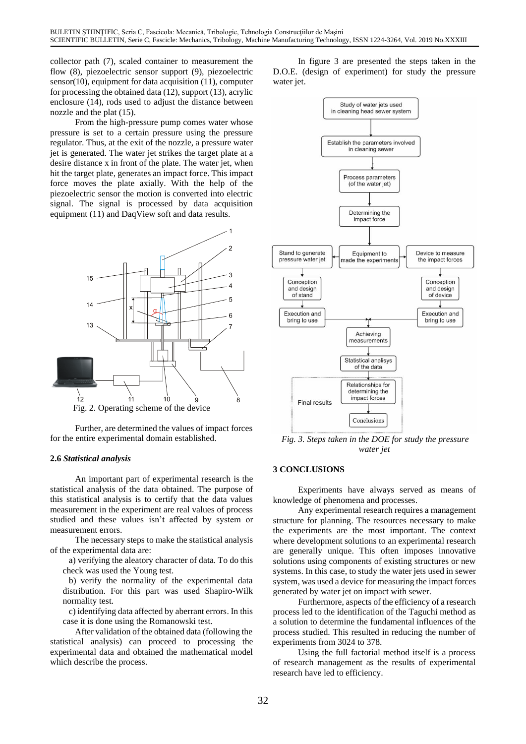collector path (7), scaled container to measurement the flow (8), piezoelectric sensor support (9), piezoelectric sensor(10), equipment for data acquisition (11), computer for processing the obtained data (12), support (13), acrylic enclosure (14), rods used to adjust the distance between nozzle and the plat (15).

From the high-pressure pump comes water whose pressure is set to a certain pressure using the pressure regulator. Thus, at the exit of the nozzle, a pressure water jet is generated. The water jet strikes the target plate at a desire distance x in front of the plate. The water jet, when hit the target plate, generates an impact force. This impact force moves the plate axially. With the help of the piezoelectric sensor the motion is converted into electric signal. The signal is processed by data acquisition equipment (11) and DaqView soft and data results.



Further, are determined the values of impact forces for the entire experimental domain established.

## **2.6** *Statistical analysis*

An important part of experimental research is the statistical analysis of the data obtained. The purpose of this statistical analysis is to certify that the data values measurement in the experiment are real values of process studied and these values isn't affected by system or measurement errors.

The necessary steps to make the statistical analysis of the experimental data are:

a) verifying the aleatory character of data. To do this check was used the Young test.

b) verify the normality of the experimental data distribution. For this part was used Shapiro-Wilk normality test.

c) identifying data affected by aberrant errors. In this case it is done using the Romanowski test.

After validation of the obtained data (following the statistical analysis) can proceed to processing the experimental data and obtained the mathematical model which describe the process.

In figure 3 are presented the steps taken in the D.O.E. (design of experiment) for study the pressure water jet.



*Fig. 3. Steps taken in the DOE for study the pressure water jet*

## **3 CONCLUSIONS**

Experiments have always served as means of knowledge of phenomena and processes.

Any experimental research requires a management structure for planning. The resources necessary to make the experiments are the most important. The context where development solutions to an experimental research are generally unique. This often imposes innovative solutions using components of existing structures or new systems. In this case, to study the water jets used in sewer system, was used a device for measuring the impact forces generated by water jet on impact with sewer.

Furthermore, aspects of the efficiency of a research process led to the identification of the Taguchi method as a solution to determine the fundamental influences of the process studied. This resulted in reducing the number of experiments from 3024 to 378.

Using the full factorial method itself is a process of research management as the results of experimental research have led to efficiency.